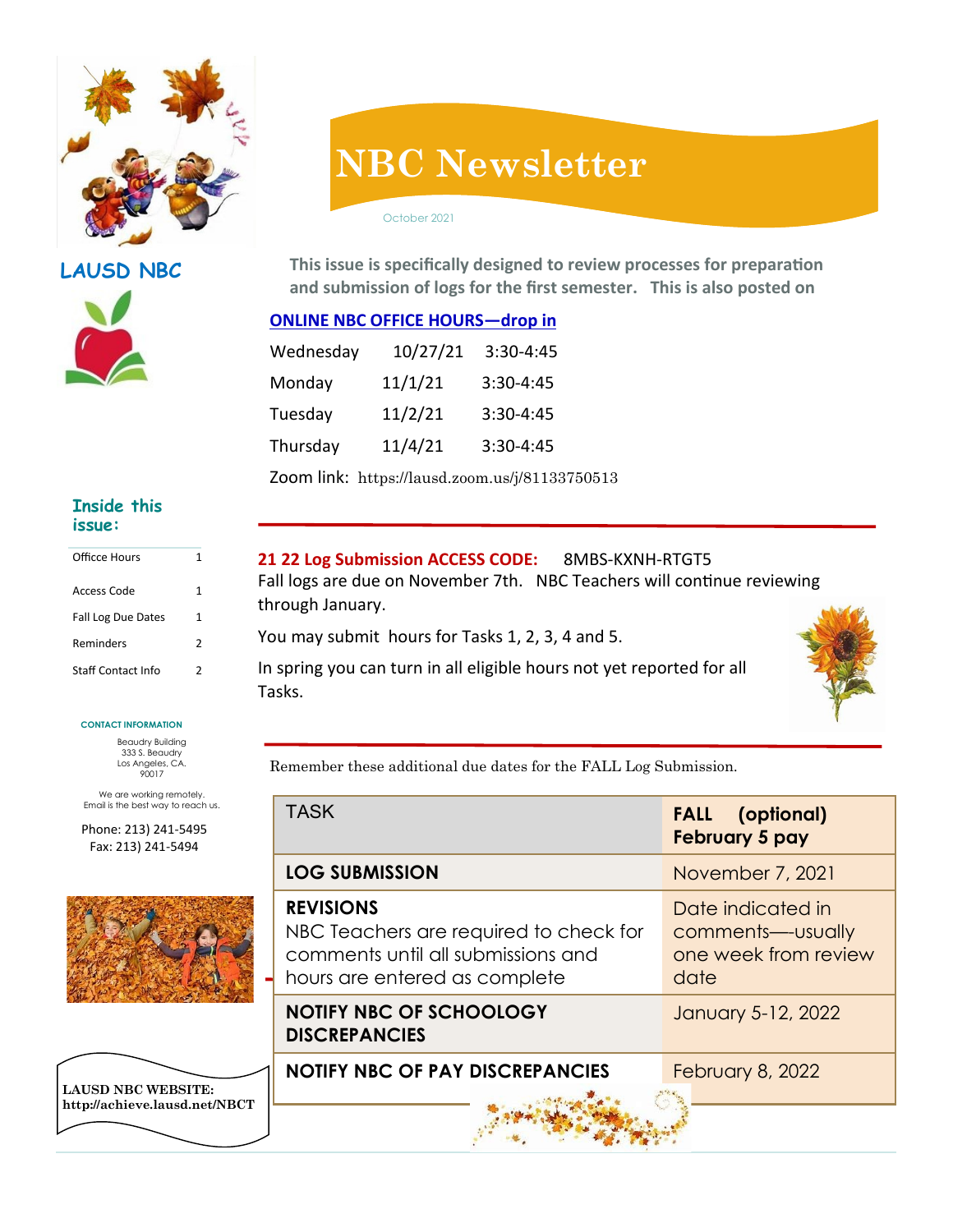

**LAUSD NBC**



# **NBC Newsletter**

October 2021

**This issue is specifically designed to review processes for preparation and submission of logs for the first semester. This is also posted on** 

## **ONLINE NBC OFFICE HOURS—drop in**

| Wednesday | 10/27/21 | 3:30-4:45   |
|-----------|----------|-------------|
| Monday    | 11/1/21  | $3:30-4:45$ |
| Tuesday   | 11/2/21  | $3:30-4:45$ |
| Thursday  | 11/4/21  | 3:30-4:45   |

Zoom link: https://lausd.zoom.us/j/81133750513

#### **Inside this issue:**

| Officce Hours             | 1 |
|---------------------------|---|
| Access Code               | 1 |
| Fall Log Due Dates        | 1 |
| <b>Reminders</b>          | 2 |
| <b>Staff Contact Info</b> | 2 |

#### **CONTACT INFORMATION**

Beaudry Building 333 S. Beaudry Los Angeles, CA. 90017

We are working remotely. Email is the best way to reach us.

Phone: 213) 241-5495 Fax: 213) 241-5494



**LAUSD NBC WEBSITE: http://achieve.lausd.net/NBCT**

### **21 22 Log Submission ACCESS CODE:** 8MBS-KXNH-RTGT5

Fall logs are due on November 7th. NBC Teachers will continue reviewing through January.

You may submit hours for Tasks 1, 2, 3, 4 and 5.

In spring you can turn in all eligible hours not yet reported for all Tasks.



Remember these additional due dates for the FALL Log Submission.

| <b>TASK</b>                                                                                                                       | <b>FALL</b> (optional)<br>February 5 pay                                |  |
|-----------------------------------------------------------------------------------------------------------------------------------|-------------------------------------------------------------------------|--|
| <b>LOG SUBMISSION</b>                                                                                                             | November 7, 2021                                                        |  |
| <b>REVISIONS</b><br>NBC Teachers are required to check for<br>comments until all submissions and<br>hours are entered as complete | Date indicated in<br>comments---usually<br>one week from review<br>date |  |
| <b>NOTIFY NBC OF SCHOOLOGY</b><br><b>DISCREPANCIES</b>                                                                            | January 5-12, 2022                                                      |  |
| <b>NOTIFY NBC OF PAY DISCREPANCIES</b>                                                                                            | <b>February 8, 2022</b>                                                 |  |
|                                                                                                                                   |                                                                         |  |